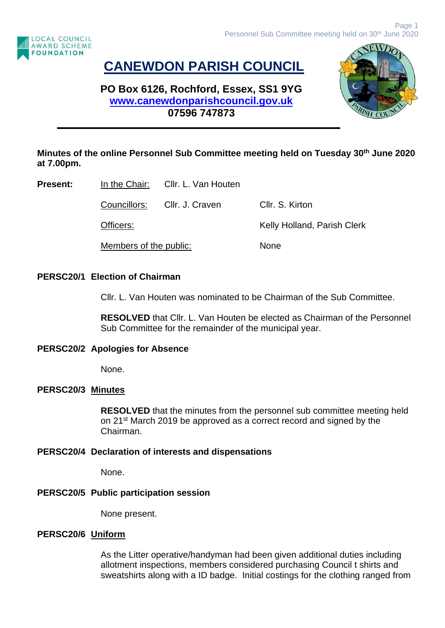

# **CANEWDON PARISH COUNCIL**

# **PO Box 6126, Rochford, Essex, SS1 9YG [www.canewdonparishcouncil.gov.uk](http://www.canewdonparishcouncil.gov.uk/) 07596 747873**



## **Minutes of the online Personnel Sub Committee meeting held on Tuesday 30th June 2020 at 7.00pm.**

**Present:** In the Chair: Cllr. L. Van Houten

Councillors: Cllr. J. Craven Cllr. S. Kirton

Officers: Community Community Community Kelly Holland, Parish Clerk

Members of the public: None

### **PERSC20/1 Election of Chairman**

Cllr. L. Van Houten was nominated to be Chairman of the Sub Committee.

**RESOLVED** that Cllr. L. Van Houten be elected as Chairman of the Personnel Sub Committee for the remainder of the municipal year.

### **PERSC20/2 Apologies for Absence**

None.

### **PERSC20/3 Minutes**

**RESOLVED** that the minutes from the personnel sub committee meeting held on 21<sup>st</sup> March 2019 be approved as a correct record and signed by the Chairman.

### **PERSC20/4 Declaration of interests and dispensations**

None.

# **PERSC20/5 Public participation session**

None present.

# **PERSC20/6 Uniform**

As the Litter operative/handyman had been given additional duties including allotment inspections, members considered purchasing Council t shirts and sweatshirts along with a ID badge. Initial costings for the clothing ranged from